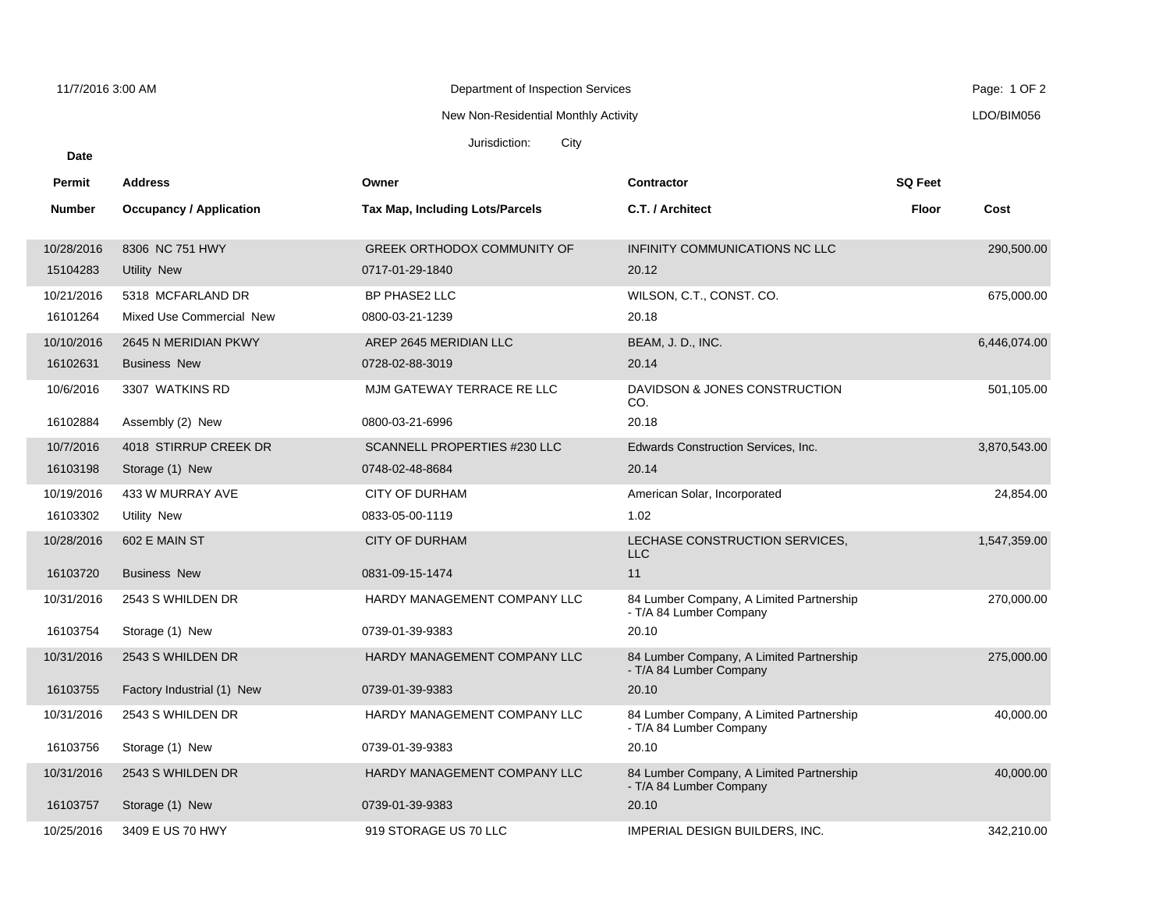**Date**

Department of Inspection Services 11/7/2016 3:00 AM Page: 1 OF 2

## New Non-Residential Monthly Activity

Jurisdiction: City

| Permit        | <b>Address</b>                 | Owner                              | <b>Contractor</b>                                                   | <b>SQ Feet</b> |              |
|---------------|--------------------------------|------------------------------------|---------------------------------------------------------------------|----------------|--------------|
| <b>Number</b> | <b>Occupancy / Application</b> | Tax Map, Including Lots/Parcels    | C.T. / Architect                                                    | Floor          | Cost         |
| 10/28/2016    | 8306 NC 751 HWY                | <b>GREEK ORTHODOX COMMUNITY OF</b> | INFINITY COMMUNICATIONS NC LLC                                      |                | 290,500.00   |
| 15104283      | Utility New                    | 0717-01-29-1840                    | 20.12                                                               |                |              |
| 10/21/2016    | 5318 MCFARLAND DR              | BP PHASE2 LLC                      | WILSON, C.T., CONST. CO.                                            |                | 675,000.00   |
| 16101264      | Mixed Use Commercial New       | 0800-03-21-1239                    | 20.18                                                               |                |              |
| 10/10/2016    | 2645 N MERIDIAN PKWY           | AREP 2645 MERIDIAN LLC             | BEAM, J.D., INC.                                                    |                | 6,446,074.00 |
| 16102631      | <b>Business New</b>            | 0728-02-88-3019                    | 20.14                                                               |                |              |
| 10/6/2016     | 3307 WATKINS RD                | MJM GATEWAY TERRACE RE LLC         | DAVIDSON & JONES CONSTRUCTION<br>CO.                                |                | 501,105.00   |
| 16102884      | Assembly (2) New               | 0800-03-21-6996                    | 20.18                                                               |                |              |
| 10/7/2016     | 4018 STIRRUP CREEK DR          | SCANNELL PROPERTIES #230 LLC       | <b>Edwards Construction Services, Inc.</b>                          |                | 3,870,543.00 |
| 16103198      | Storage (1) New                | 0748-02-48-8684                    | 20.14                                                               |                |              |
| 10/19/2016    | 433 W MURRAY AVE               | <b>CITY OF DURHAM</b>              | American Solar, Incorporated                                        |                | 24,854.00    |
| 16103302      | Utility New                    | 0833-05-00-1119                    | 1.02                                                                |                |              |
| 10/28/2016    | 602 E MAIN ST                  | <b>CITY OF DURHAM</b>              | LECHASE CONSTRUCTION SERVICES.<br><b>LLC</b>                        |                | 1,547,359.00 |
| 16103720      | <b>Business New</b>            | 0831-09-15-1474                    | 11                                                                  |                |              |
| 10/31/2016    | 2543 S WHILDEN DR              | HARDY MANAGEMENT COMPANY LLC       | 84 Lumber Company, A Limited Partnership<br>- T/A 84 Lumber Company |                | 270,000.00   |
| 16103754      | Storage (1) New                | 0739-01-39-9383                    | 20.10                                                               |                |              |
| 10/31/2016    | 2543 S WHILDEN DR              | HARDY MANAGEMENT COMPANY LLC       | 84 Lumber Company, A Limited Partnership<br>- T/A 84 Lumber Company |                | 275,000.00   |
| 16103755      | Factory Industrial (1) New     | 0739-01-39-9383                    | 20.10                                                               |                |              |
| 10/31/2016    | 2543 S WHILDEN DR              | HARDY MANAGEMENT COMPANY LLC       | 84 Lumber Company, A Limited Partnership<br>- T/A 84 Lumber Company |                | 40,000.00    |
| 16103756      | Storage (1) New                | 0739-01-39-9383                    | 20.10                                                               |                |              |
| 10/31/2016    | 2543 S WHILDEN DR              | HARDY MANAGEMENT COMPANY LLC       | 84 Lumber Company, A Limited Partnership<br>- T/A 84 Lumber Company |                | 40,000.00    |
| 16103757      | Storage (1) New                | 0739-01-39-9383                    | 20.10                                                               |                |              |
| 10/25/2016    | 3409 E US 70 HWY               | 919 STORAGE US 70 LLC              | <b>IMPERIAL DESIGN BUILDERS. INC.</b>                               |                | 342.210.00   |